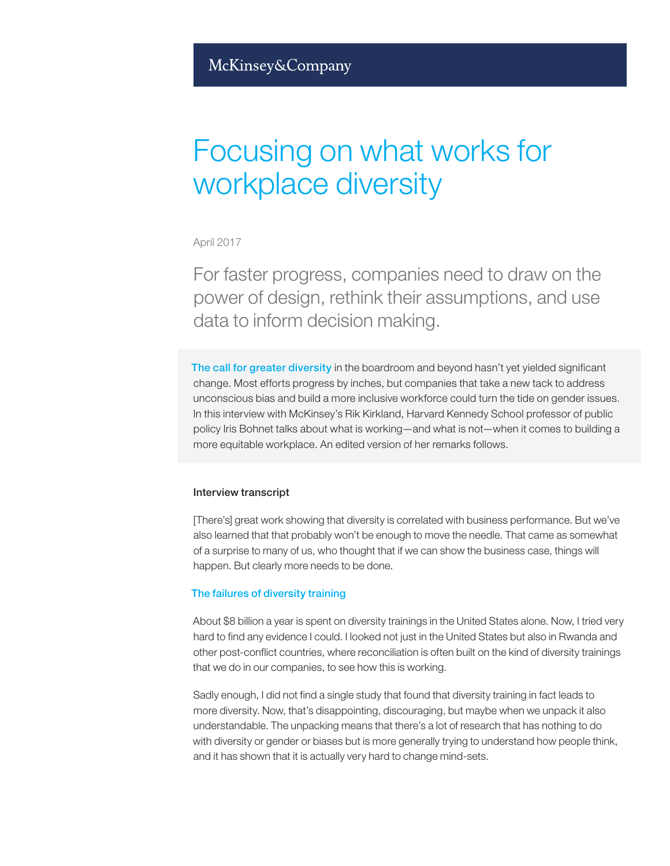# Focusing on what works for workplace diversity

April 2017

For faster progress, companies need to draw on the power of design, rethink their assumptions, and use data to inform decision making.

The call for greater diversity in the boardroom and beyond hasn't yet yielded significant change. Most efforts progress by inches, but companies that take a new tack to address unconscious bias and build a more inclusive workforce could turn the tide on gender issues. In this interview with McKinsey's Rik Kirkland, Harvard Kennedy School professor of public policy Iris Bohnet talks about what is working—and what is not—when it comes to building a more equitable workplace. An edited version of her remarks follows.

## Interview transcript

[There's] great work showing that diversity is correlated with business performance. But we've also learned that that probably won't be enough to move the needle. That came as somewhat of a surprise to many of us, who thought that if we can show the business case, things will happen. But clearly more needs to be done.

## The failures of diversity training

About \$8 billion a year is spent on diversity trainings in the United States alone. Now, I tried very hard to find any evidence I could. I looked not just in the United States but also in Rwanda and other post-conflict countries, where reconciliation is often built on the kind of diversity trainings that we do in our companies, to see how this is working.

Sadly enough, I did not find a single study that found that diversity training in fact leads to more diversity. Now, that's disappointing, discouraging, but maybe when we unpack it also understandable. The unpacking means that there's a lot of research that has nothing to do with diversity or gender or biases but is more generally trying to understand how people think, and it has shown that it is actually very hard to change mind-sets.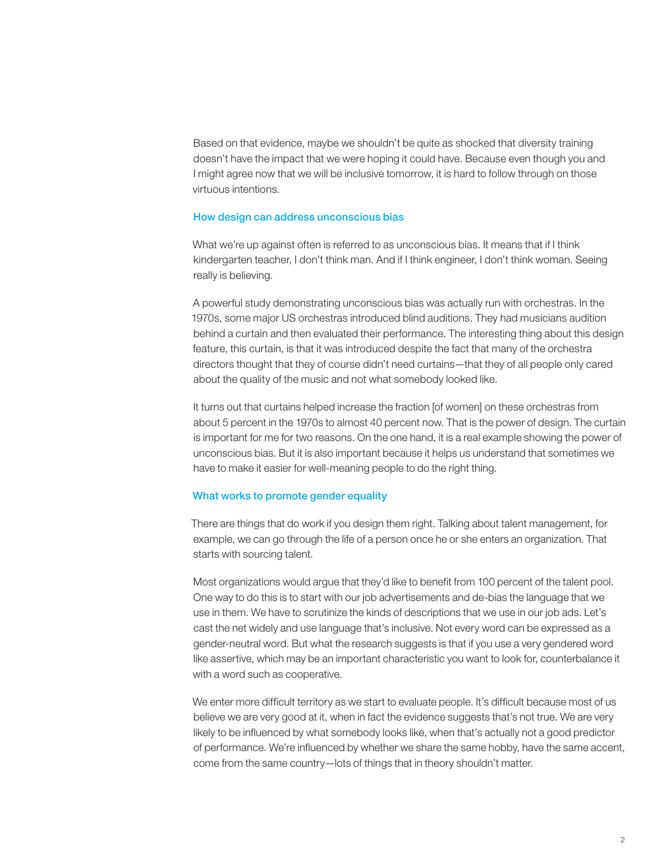Based on that evidence, maybe we shouldn't be quite as shocked that diversity training doesn't have the impact that we were hoping it could have. Because even though you and I might agree now that we will be inclusive tomorrow, it is hard to follow through on those virtuous intentions.

## How design can address unconscious bias

What we're up against often is referred to as unconscious bias. It means that if I think kindergarten teacher, I don't think man. And if I think engineer, I don't think woman. Seeing really is believing.

A powerful study demonstrating unconscious bias was actually run with orchestras. In the 1970s, some major US orchestras introduced blind auditions. They had musicians audition behind a curtain and then evaluated their performance. The interesting thing about this design feature, this curtain, is that it was introduced despite the fact that many of the orchestra directors thought that they of course didn't need curtains—that they of all people only cared about the quality of the music and not what somebody looked like.

It turns out that curtains helped increase the fraction [of women] on these orchestras from about 5 percent in the 1970s to almost 40 percent now. That is the power of design. The curtain is important for me for two reasons. On the one hand, it is a real example showing the power of unconscious bias. But it is also important because it helps us understand that sometimes we have to make it easier for well-meaning people to do the right thing.

## What works to promote gender equality

There are things that do work if you design them right. Talking about talent management, for example, we can go through the life of a person once he or she enters an organization. That starts with sourcing talent.

Most organizations would argue that they'd like to benefit from 100 percent of the talent pool. One way to do this is to start with our job advertisements and de-bias the language that we use in them. We have to scrutinize the kinds of descriptions that we use in our job ads. Let's cast the net widely and use language that's inclusive. Not every word can be expressed as a gender-neutral word. But what the research suggests is that if you use a very gendered word like assertive, which may be an important characteristic you want to look for, counterbalance it with a word such as cooperative.

We enter more difficult territory as we start to evaluate people. It's difficult because most of us believe we are very good at it, when in fact the evidence suggests that's not true. We are very likely to be influenced by what somebody looks like, when that's actually not a good predictor of performance. We're influenced by whether we share the same hobby, have the same accent, come from the same country—lots of things that in theory shouldn't matter.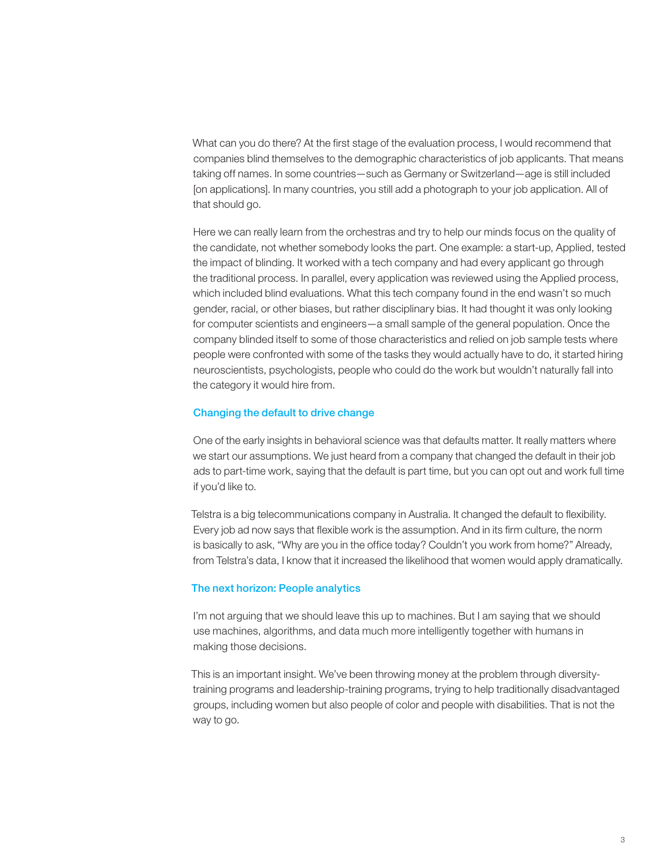What can you do there? At the first stage of the evaluation process, I would recommend that companies blind themselves to the demographic characteristics of job applicants. That means taking off names. In some countries—such as Germany or Switzerland—age is still included [on applications]. In many countries, you still add a photograph to your job application. All of that should go.

Here we can really learn from the orchestras and try to help our minds focus on the quality of the candidate, not whether somebody looks the part. One example: a start-up, Applied, tested the impact of blinding. It worked with a tech company and had every applicant go through the traditional process. In parallel, every application was reviewed using the Applied process, which included blind evaluations. What this tech company found in the end wasn't so much gender, racial, or other biases, but rather disciplinary bias. It had thought it was only looking for computer scientists and engineers—a small sample of the general population. Once the company blinded itself to some of those characteristics and relied on job sample tests where people were confronted with some of the tasks they would actually have to do, it started hiring neuroscientists, psychologists, people who could do the work but wouldn't naturally fall into the category it would hire from.

## Changing the default to drive change

One of the early insights in behavioral science was that defaults matter. It really matters where we start our assumptions. We just heard from a company that changed the default in their job ads to part-time work, saying that the default is part time, but you can opt out and work full time if you'd like to.

Telstra is a big telecommunications company in Australia. It changed the default to flexibility. Every job ad now says that flexible work is the assumption. And in its firm culture, the norm is basically to ask, "Why are you in the office today? Couldn't you work from home?" Already, from Telstra's data, I know that it increased the likelihood that women would apply dramatically.

## The next horizon: People analytics

I'm not arguing that we should leave this up to machines. But I am saying that we should use machines, algorithms, and data much more intelligently together with humans in making those decisions.

This is an important insight. We've been throwing money at the problem through diversitytraining programs and leadership-training programs, trying to help traditionally disadvantaged groups, including women but also people of color and people with disabilities. That is not the way to go.